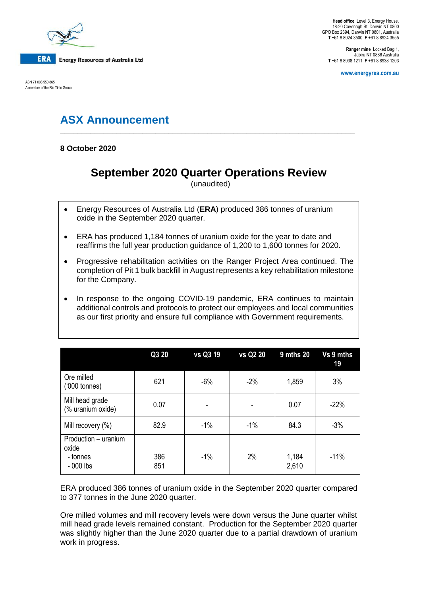

ABN 71 008 550 865 A member of the Rio Tinto Group

**Head office** Level 3, Energy House, 18-20 Cavenagh St, Darwin NT 0800 GPO Box 2394, Darwin NT 0801, Australia **T** +61 8 8924 3500 **F** +61 8 8924 3555

**Ranger mine** Locked Bag 1, Jabiru NT 0886 Australia **T** +61 8 8938 1211 **F** +61 8 8938 1203

**www.energyres.com.au**

# **ASX Announcement**

**8 October 2020**

## **September 2020 Quarter Operations Review**

**\_\_\_\_\_\_\_\_\_\_\_\_\_\_\_\_\_\_\_\_\_\_\_\_\_\_\_\_\_\_\_\_\_\_\_\_\_\_\_\_\_\_\_\_\_\_\_\_\_\_\_\_\_\_\_\_\_\_\_\_\_\_\_\_\_\_\_\_**

(unaudited)

- Energy Resources of Australia Ltd (**ERA**) produced 386 tonnes of uranium oxide in the September 2020 quarter.
- ERA has produced 1,184 tonnes of uranium oxide for the year to date and reaffirms the full year production guidance of 1,200 to 1,600 tonnes for 2020.
- Progressive rehabilitation activities on the Ranger Project Area continued. The completion of Pit 1 bulk backfill in August represents a key rehabilitation milestone for the Company.
- In response to the ongoing COVID-19 pandemic, ERA continues to maintain additional controls and protocols to protect our employees and local communities as our first priority and ensure full compliance with Government requirements.

|                                                         | Q3 20      | vs Q3 19 | vs Q2 20 | 9 mths 20      | Vs 9 mths<br>19 |
|---------------------------------------------------------|------------|----------|----------|----------------|-----------------|
| Ore milled<br>$(000 \text{ tonnes})$                    | 621        | $-6%$    | $-2%$    | 1,859          | 3%              |
| Mill head grade<br>(% uranium oxide)                    | 0.07       | ٠        |          | 0.07           | $-22%$          |
| Mill recovery (%)                                       | 82.9       | $-1%$    | $-1%$    | 84.3           | $-3%$           |
| Production - uranium<br>oxide<br>- tonnes<br>$-000$ lbs | 386<br>851 | $-1%$    | 2%       | 1,184<br>2,610 | $-11%$          |

ERA produced 386 tonnes of uranium oxide in the September 2020 quarter compared to 377 tonnes in the June 2020 quarter.

Ore milled volumes and mill recovery levels were down versus the June quarter whilst mill head grade levels remained constant. Production for the September 2020 quarter was slightly higher than the June 2020 quarter due to a partial drawdown of uranium work in progress.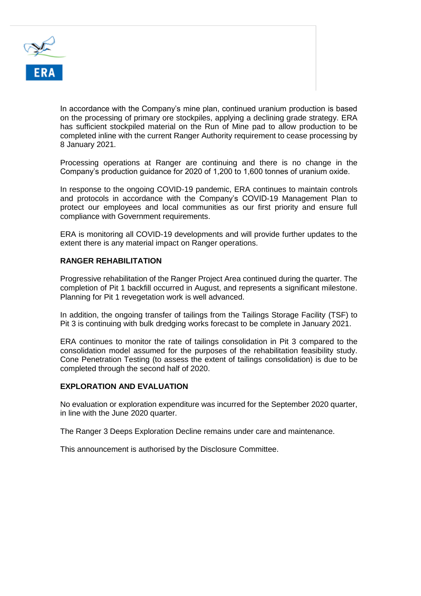

In accordance with the Company's mine plan, continued uranium production is based on the processing of primary ore stockpiles, applying a declining grade strategy. ERA has sufficient stockpiled material on the Run of Mine pad to allow production to be completed inline with the current Ranger Authority requirement to cease processing by 8 January 2021.

Processing operations at Ranger are continuing and there is no change in the Company's production guidance for 2020 of 1,200 to 1,600 tonnes of uranium oxide.

In response to the ongoing COVID-19 pandemic, ERA continues to maintain controls and protocols in accordance with the Company's COVID-19 Management Plan to protect our employees and local communities as our first priority and ensure full compliance with Government requirements.

ERA is monitoring all COVID-19 developments and will provide further updates to the extent there is any material impact on Ranger operations.

#### **RANGER REHABILITATION**

Progressive rehabilitation of the Ranger Project Area continued during the quarter. The completion of Pit 1 backfill occurred in August, and represents a significant milestone. Planning for Pit 1 revegetation work is well advanced.

In addition, the ongoing transfer of tailings from the Tailings Storage Facility (TSF) to Pit 3 is continuing with bulk dredging works forecast to be complete in January 2021.

ERA continues to monitor the rate of tailings consolidation in Pit 3 compared to the consolidation model assumed for the purposes of the rehabilitation feasibility study. Cone Penetration Testing (to assess the extent of tailings consolidation) is due to be completed through the second half of 2020.

## **EXPLORATION AND EVALUATION**

No evaluation or exploration expenditure was incurred for the September 2020 quarter, in line with the June 2020 quarter.

The Ranger 3 Deeps Exploration Decline remains under care and maintenance.

This announcement is authorised by the Disclosure Committee.